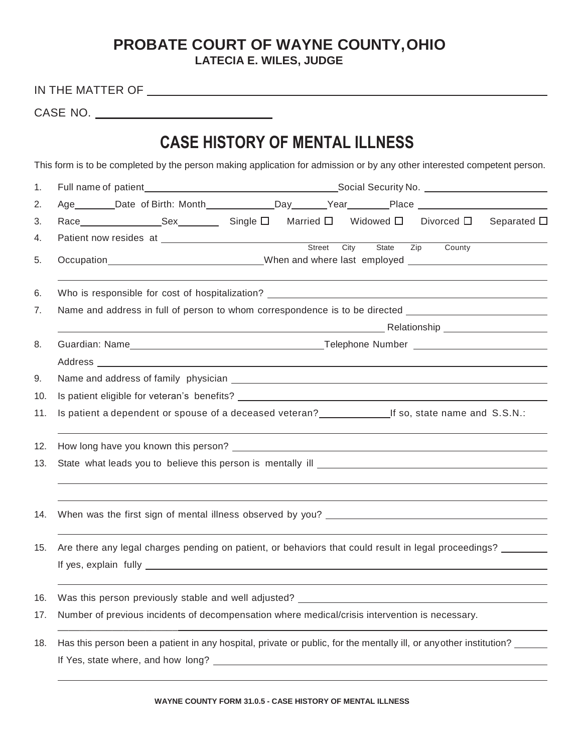## **PROBATE COURT OF WAYNE COUNTY,OHIO**

**LATECIA E. WILES, JUDGE**

| IN THE MATTER OF |  |
|------------------|--|
|                  |  |
|                  |  |

CASE NO.

## **CASE HISTORY OF MENTAL ILLNESS**

This form is to be completed by the person making application for admission or by any other interested competent person.

| 1.  |                                                                                                      |                                                                                                                                         |  |  |  |
|-----|------------------------------------------------------------------------------------------------------|-----------------------------------------------------------------------------------------------------------------------------------------|--|--|--|
| 2.  |                                                                                                      |                                                                                                                                         |  |  |  |
| 3.  |                                                                                                      |                                                                                                                                         |  |  |  |
| 4.  |                                                                                                      | State Zip<br>City<br>County                                                                                                             |  |  |  |
| 5.  |                                                                                                      | Occupation________________________________When and where last employed ____________________________                                     |  |  |  |
| 6.  |                                                                                                      |                                                                                                                                         |  |  |  |
| 7.  |                                                                                                      | Name and address in full of person to whom correspondence is to be directed _______________________                                     |  |  |  |
|     |                                                                                                      |                                                                                                                                         |  |  |  |
| 8.  |                                                                                                      |                                                                                                                                         |  |  |  |
|     |                                                                                                      |                                                                                                                                         |  |  |  |
| 9.  |                                                                                                      |                                                                                                                                         |  |  |  |
| 10. |                                                                                                      |                                                                                                                                         |  |  |  |
| 11. | Is patient a dependent or spouse of a deceased veteran?<br>Lif so, state name and S.S.N.:            |                                                                                                                                         |  |  |  |
| 12. |                                                                                                      |                                                                                                                                         |  |  |  |
| 13. |                                                                                                      | State what leads you to believe this person is mentally ill example and the state what leads you to believe this person is mentally ill |  |  |  |
| 14. |                                                                                                      |                                                                                                                                         |  |  |  |
| 15. | Are there any legal charges pending on patient, or behaviors that could result in legal proceedings? |                                                                                                                                         |  |  |  |
| 16. |                                                                                                      |                                                                                                                                         |  |  |  |
| 17. |                                                                                                      | Number of previous incidents of decompensation where medical/crisis intervention is necessary.                                          |  |  |  |
| 18. |                                                                                                      | Has this person been a patient in any hospital, private or public, for the mentally ill, or any other institution?                      |  |  |  |